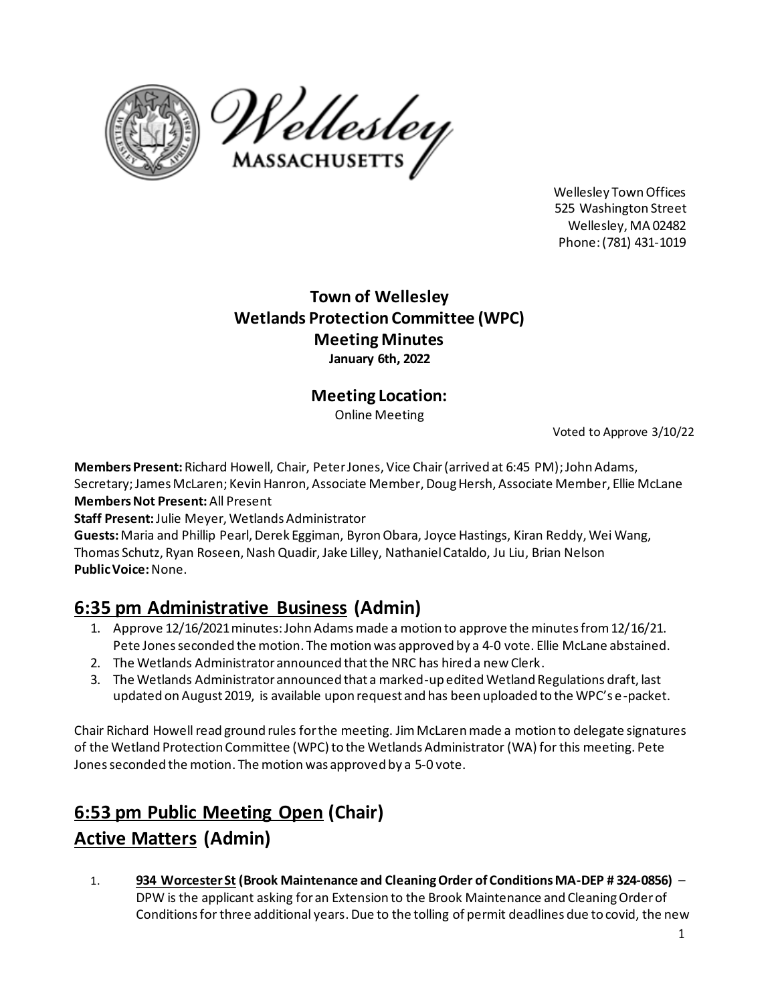



Wellesley TownOffices 525 Washington Street Wellesley, MA 02482 Phone: (781) 431‐1019

## **Town of Wellesley Wetlands Protection Committee (WPC) Meeting Minutes January 6th, 2022**

## **Meeting Location:**

Online Meeting

Voted to Approve 3/10/22

**Members Present:** Richard Howell, Chair, Peter Jones, Vice Chair(arrived at 6:45 PM);John Adams, Secretary; James McLaren; Kevin Hanron, Associate Member, Doug Hersh, Associate Member, Ellie McLane **Members Not Present:**All Present

**Staff Present:**Julie Meyer, Wetlands Administrator

**Guests:**Maria and Phillip Pearl, Derek Eggiman, Byron Obara, Joyce Hastings, Kiran Reddy, Wei Wang, Thomas Schutz, Ryan Roseen, Nash Quadir,Jake Lilley, Nathaniel Cataldo, Ju Liu, Brian Nelson **Public Voice:** None.

# **6:35 pm Administrative Business (Admin)**

- 1. Approve 12/16/2021minutes: John Adamsmade a motion to approve the minutes from 12/16/21. Pete Jones seconded the motion. The motion was approved by a 4-0 vote. Ellie McLane abstained.
- 2. The Wetlands Administrator announced that the NRC has hired a new Clerk.
- 3. The Wetlands Administrator announced that a marked-up edited Wetland Regulations draft, last updated on August 2019, is available upon request and has been uploaded to the WPC's e-packet.

Chair Richard Howell read ground rules for the meeting. Jim McLarenmade a motion to delegate signatures of the Wetland Protection Committee (WPC) to the Wetlands Administrator (WA) for this meeting. Pete Jones seconded the motion. The motion was approved by a 5-0 vote.

# **6:53 pm Public Meeting Open (Chair) Active Matters (Admin)**

1. **934 Worcester St (Brook Maintenance and Cleaning Order of Conditions MA-DEP # 324-0856)** – DPW is the applicant asking for an Extension to the Brook Maintenance and Cleaning Order of Conditions for three additional years. Due to the tolling of permit deadlines due to covid, the new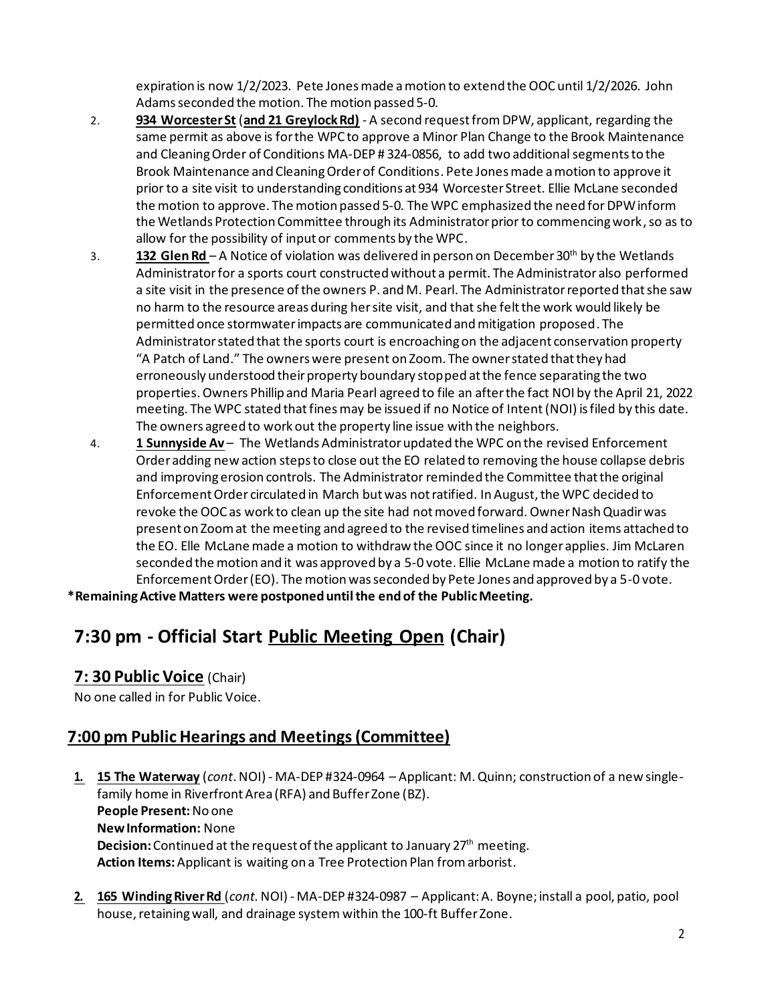expiration is now 1/2/2023. Pete Jones made a motion to extend the OOC until 1/2/2026. John Adams seconded the motion. The motion passed 5-0.

- 2. **934 Worcester St** (**and 21 Greylock Rd)** A second request from DPW, applicant, regarding the same permit as above is for the WPC to approve a Minor Plan Change to the Brook Maintenance and Cleaning Order of Conditions MA-DEP # 324-0856, to add two additional segments to the Brook Maintenance and Cleaning Order of Conditions. Pete Jones made a motion to approve it prior to a site visit to understanding conditions at 934 Worcester Street. Ellie McLane seconded the motion to approve. The motion passed 5-0. The WPC emphasized the need for DPW inform the Wetlands Protection Committee through its Administrator prior to commencing work, so as to allow for the possibility of input or comments by the WPC.
- 3. **132 GlenRd** A Notice of violation was delivered in person on December 30th by the Wetlands Administratorfor a sports court constructed without a permit. The Administrator also performed a site visit in the presence of the owners P. and M. Pearl. The Administrator reported that she saw no harm to the resource areas during her site visit, and that she felt the work would likely be permitted once stormwater impacts are communicated and mitigation proposed. The Administrator stated that the sports court is encroaching on the adjacent conservation property "A Patch of Land." The owners were present on Zoom. The owner stated that they had erroneously understood their property boundary stopped at the fence separating the two properties. Owners Phillip and Maria Pearl agreed to file an after the fact NOI by the April 21, 2022 meeting. The WPC stated that fines may be issued if no Notice of Intent (NOI) is filed by this date. The owners agreed to work out the property line issue with the neighbors.
- 4. **1 Sunnyside Av** The Wetlands Administrator updated the WPC on the revised Enforcement Order adding new action steps to close out the EO related to removing the house collapse debris and improving erosion controls. The Administrator reminded the Committee that the original Enforcement Order circulated in March but was not ratified. In August, the WPC decided to revoke the OOC as work to clean up the site had not moved forward. Owner Nash Quadir was present on Zoom at the meeting and agreed to the revised timelines and action items attached to the EO. Elle McLane made a motion to withdraw the OOC since it no longer applies. Jim McLaren seconded the motion and it was approved by a 5-0 vote. Ellie McLane made a motion to ratify the Enforcement Order (EO). The motion was seconded by Pete Jones and approved by a 5-0 vote.

**\*Remaining Active Matters were postponed until the end of the Public Meeting.**

# **7:30 pm ‐ Official Start Public Meeting Open (Chair)**

#### **7: 30 Public Voice** (Chair)

No one called in for Public Voice.

## **7:00 pm Public Hearings and Meetings (Committee)**

- **1. 15 The Waterway** (*cont*. NOI) MA-DEP #324-0964 Applicant: M. Quinn; construction of a new singlefamily home in Riverfront Area (RFA) and Buffer Zone (BZ). **People Present:**No one **New Information:** None **Decision:** Continued at the request of the applicant to January 27<sup>th</sup> meeting. **Action Items:**Applicant is waiting on a Tree Protection Plan from arborist.
- **2. 165 Winding River Rd** (*cont.*NOI) MA-DEP #324-0987 Applicant: A. Boyne; install a pool, patio, pool house, retaining wall, and drainage system within the 100-ft Buffer Zone.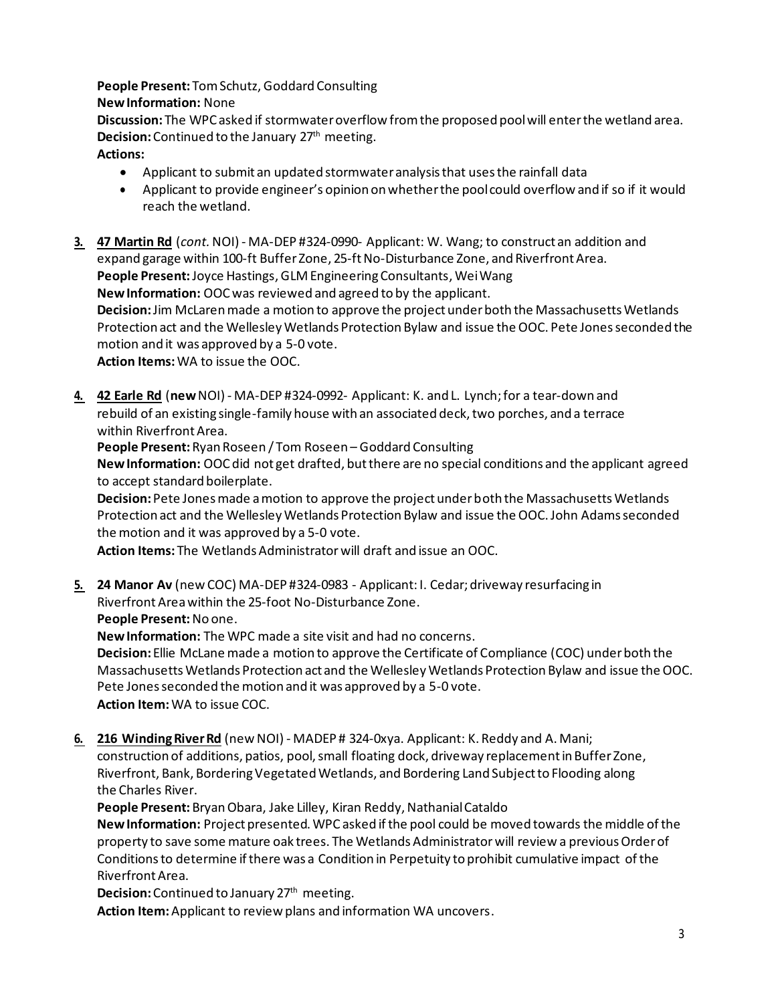**People Present:** Tom Schutz, Goddard Consulting **New Information:** None

**Discussion:** The WPC asked if stormwater overflow from the proposed pool will enter the wetland area. **Decision:** Continued to the January 27<sup>th</sup> meeting.

**Actions:**

- Applicant to submit an updated stormwater analysis that uses the rainfall data
- Applicant to provide engineer's opinion on whether the pool could overflow and if so if it would reach the wetland.

**3. 47 Martin Rd** (*cont.*NOI) - MA-DEP #324-0990- Applicant: W. Wang; to construct an addition and expand garage within 100-ft Buffer Zone, 25-ft No-Disturbance Zone, and Riverfront Area. **People Present:**Joyce Hastings, GLM Engineering Consultants, Wei Wang **New Information:** OOC was reviewed and agreed to by the applicant.

**Decision:** Jim McLaren made a motion to approve the project under both the Massachusetts Wetlands Protection act and the Wellesley Wetlands Protection Bylaw and issue the OOC. Pete Jones seconded the motion and it was approved by a 5-0 vote.

**Action Items:** WA to issue the OOC.

**4. 42 Earle Rd** (**new**NOI) - MA‐DEP #324‐0992‐ Applicant: K. and L. Lynch; for a tear-down and rebuild of an existing single-family house with an associated deck, two porches, and a terrace within Riverfront Area.

**People Present:**Ryan Roseen / Tom Roseen – Goddard Consulting

**New Information:** OOC did not get drafted, but there are no special conditions and the applicant agreed to accept standard boilerplate.

**Decision:** Pete Jones made a motion to approve the project under both the Massachusetts Wetlands Protection act and the Wellesley Wetlands Protection Bylaw and issue the OOC. John Adams seconded the motion and it was approved by a 5-0 vote.

**Action Items:** The Wetlands Administratorwill draft and issue an OOC.

**5. 24 Manor Av** (new COC) MA‐DEP #324‐0983 ‐ Applicant: I. Cedar; driveway resurfacing in RiverfrontArea within the 25-foot No-Disturbance Zone.

**People Present:**No one.

**New Information:** The WPC made a site visit and had no concerns.

**Decision:** Ellie McLane made a motion to approve the Certificate of Compliance (COC) under both the Massachusetts Wetlands Protection act and the Wellesley Wetlands Protection Bylaw and issue the OOC. Pete Jones seconded the motion and it was approved by a 5-0 vote. **Action Item:**WA to issue COC.

**6. 216 Winding River Rd** (new NOI) - MADEP # 324-0xya. Applicant: K. Reddy and A. Mani; construction of additions, patios, pool, small floating dock, driveway replacement in Buffer Zone, Riverfront, Bank, Bordering Vegetated Wetlands, and Bordering Land Subject to Flooding along

the Charles River.

**People Present:** Bryan Obara, Jake Lilley, Kiran Reddy, Nathanial Cataldo

**New Information:** Project presented. WPC asked if the pool could be moved towards the middle of the property to save some mature oak trees. The Wetlands Administrator will review a previous Order of Conditions to determine if there was a Condition in Perpetuity to prohibit cumulative impact of the Riverfront Area.

**Decision:** Continued to January 27<sup>th</sup> meeting.

**Action Item:**Applicant to review plans and information WA uncovers.